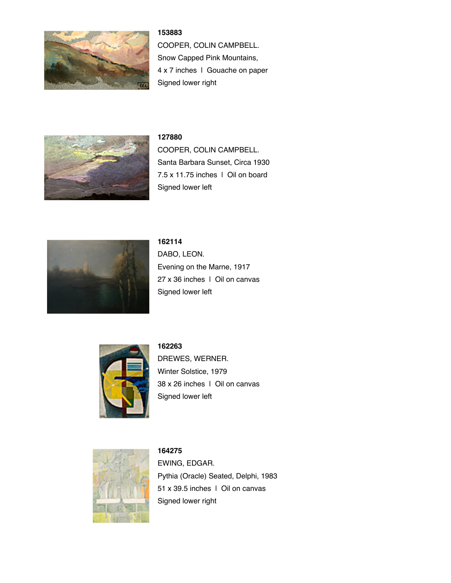

## **153883**

COOPER, COLIN CAMPBELL. Snow Capped Pink Mountains, 4 x 7 inches | Gouache on paper Signed lower right



#### **127880**

COOPER, COLIN CAMPBELL. Santa Barbara Sunset, Circa 1930 7.5 x 11.75 inches | Oil on board Signed lower left



**162114** DABO, LEON. Evening on the Marne, 1917 27 x 36 inches | Oil on canvas Signed lower left



**162263**

DREWES, WERNER. Winter Solstice, 1979 38 x 26 inches | Oil on canvas Signed lower left



**164275** EWING, EDGAR. Pythia (Oracle) Seated, Delphi, 1983 51 x 39.5 inches | Oil on canvas Signed lower right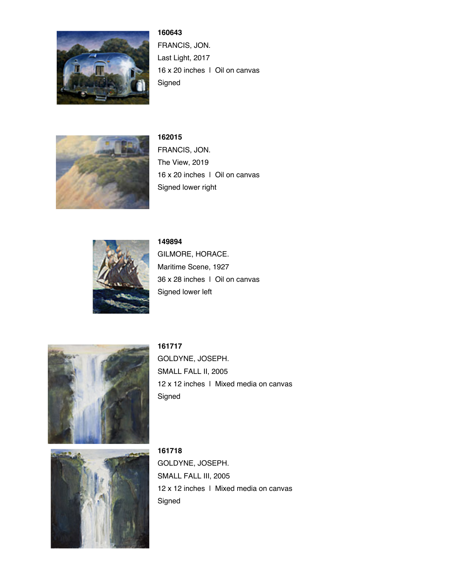

**160643** FRANCIS, JON. Last Light, 2017 16 x 20 inches | Oil on canvas Signed



**162015** FRANCIS, JON. The View, 2019 16 x 20 inches | Oil on canvas Signed lower right



# **149894**

Signed

GILMORE, HORACE. Maritime Scene, 1927 36 x 28 inches | Oil on canvas Signed lower left



**161717** GOLDYNE, JOSEPH. SMALL FALL II, 2005 12 x 12 inches | Mixed media on canvas



**161718** GOLDYNE, JOSEPH. SMALL FALL III, 2005 12 x 12 inches | Mixed media on canvas Signed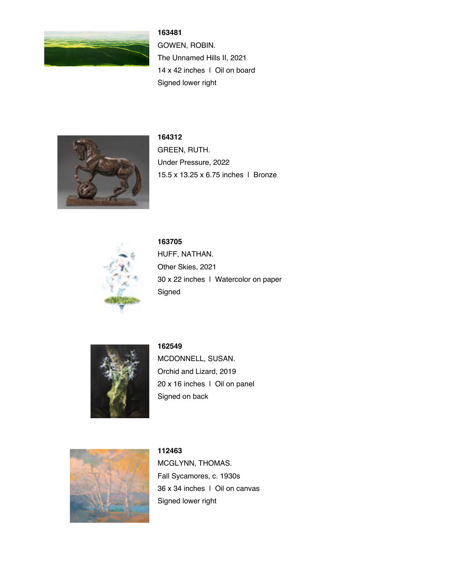

# **163481**

GOWEN, ROBIN. The Unnamed Hills II, 2021 14 x 42 inches | Oil on board Signed lower right



**164312** GREEN, RUTH. Under Pressure, 2022 15.5 x 13.25 x 6.75 inches | Bronze



**163705** HUFF, NATHAN. Other Skies, 2021 30 x 22 inches | Watercolor on paper Signed



## **162549**

MCDONNELL, SUSAN. Orchid and Lizard, 2019 20 x 16 inches | Oil on panel Signed on back



**112463** MCGLYNN, THOMAS. Fall Sycamores, c. 1930s 36 x 34 inches | Oil on canvas Signed lower right